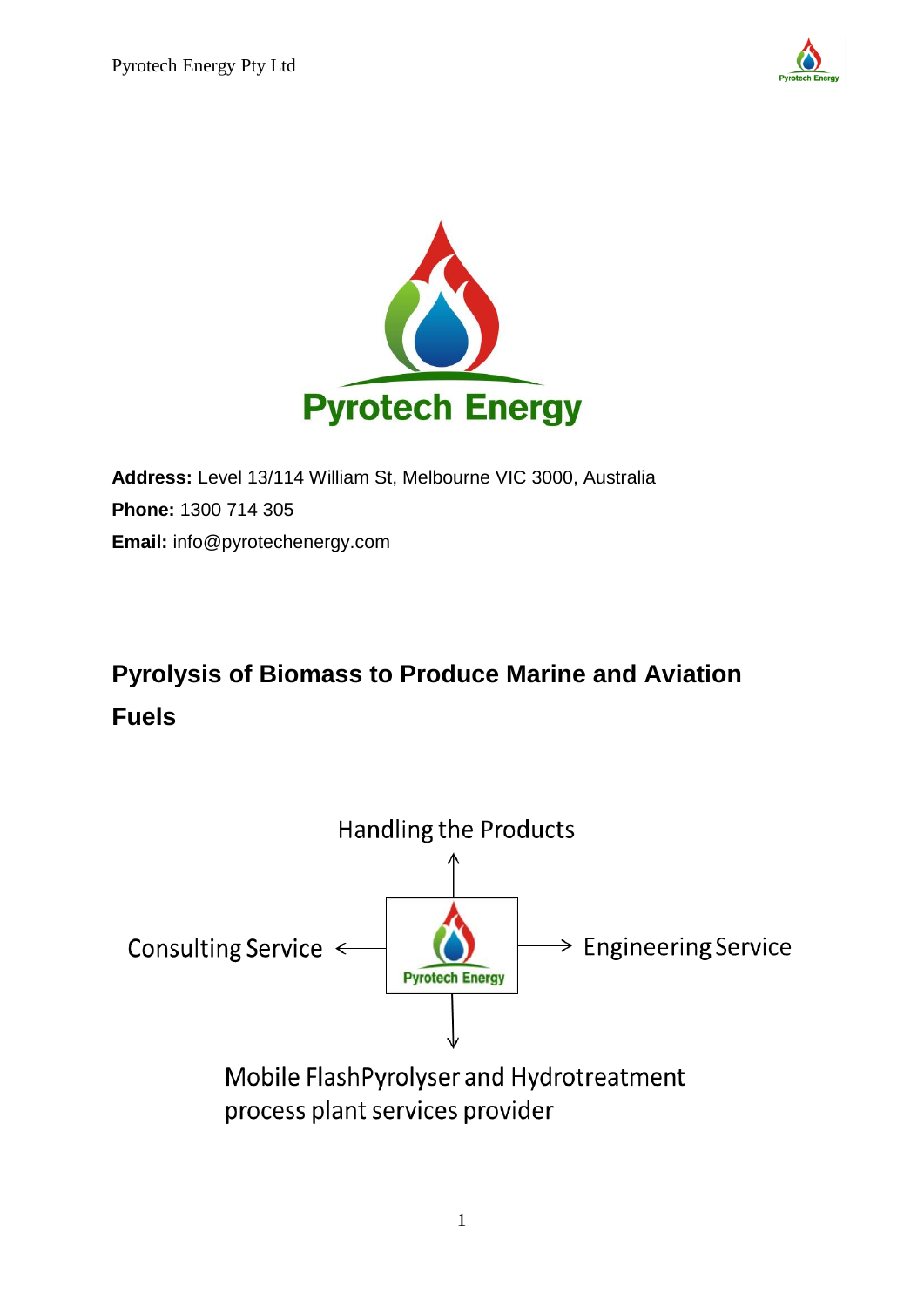



**Address:** Level 13/114 William St, Melbourne VIC 3000, Australia **Phone:** 1300 714 305 **Email:** info@pyrotechenergy.com

# **Pyrolysis of Biomass to Produce Marine and Aviation Fuels**



process plant services provider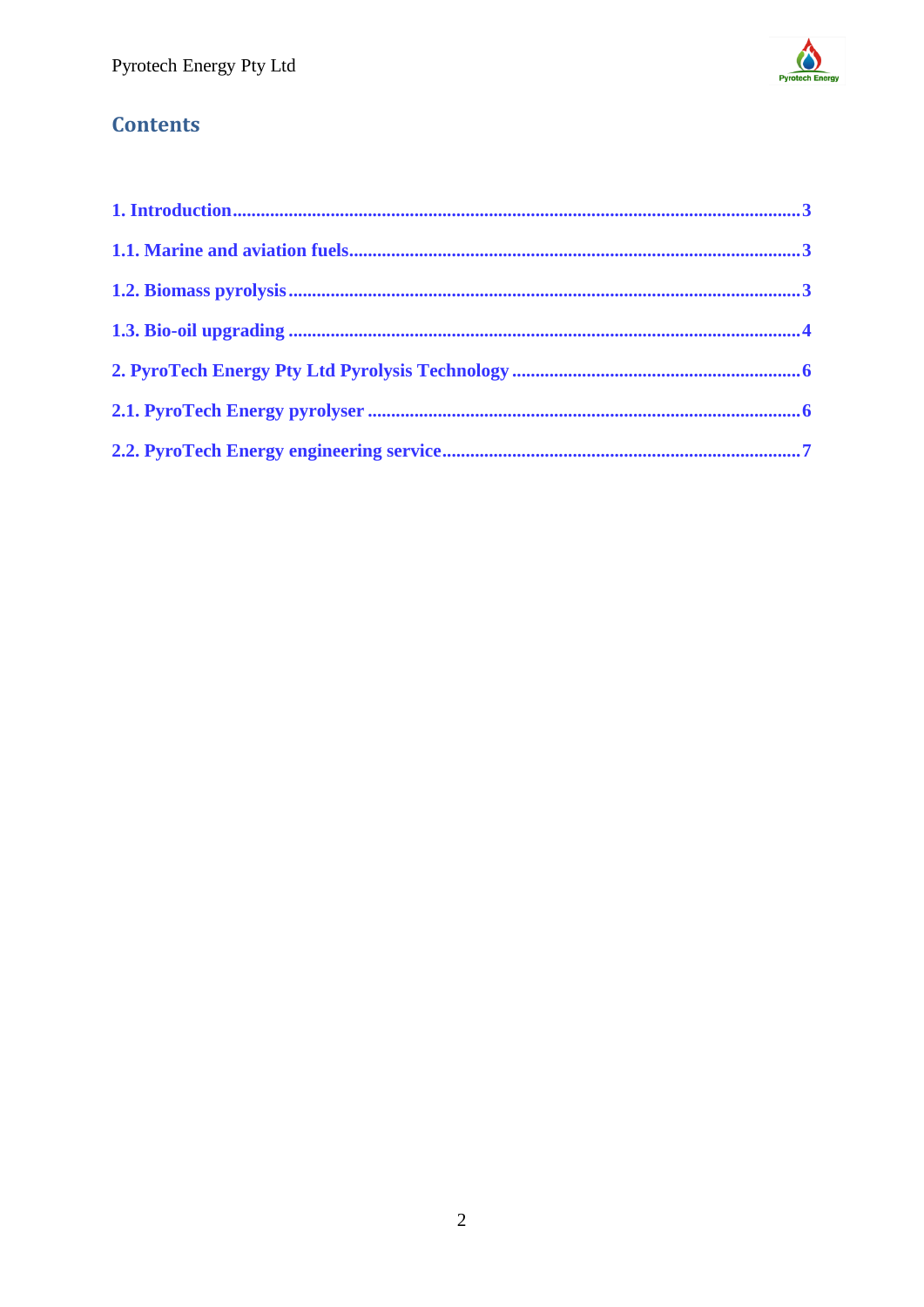

# **Contents**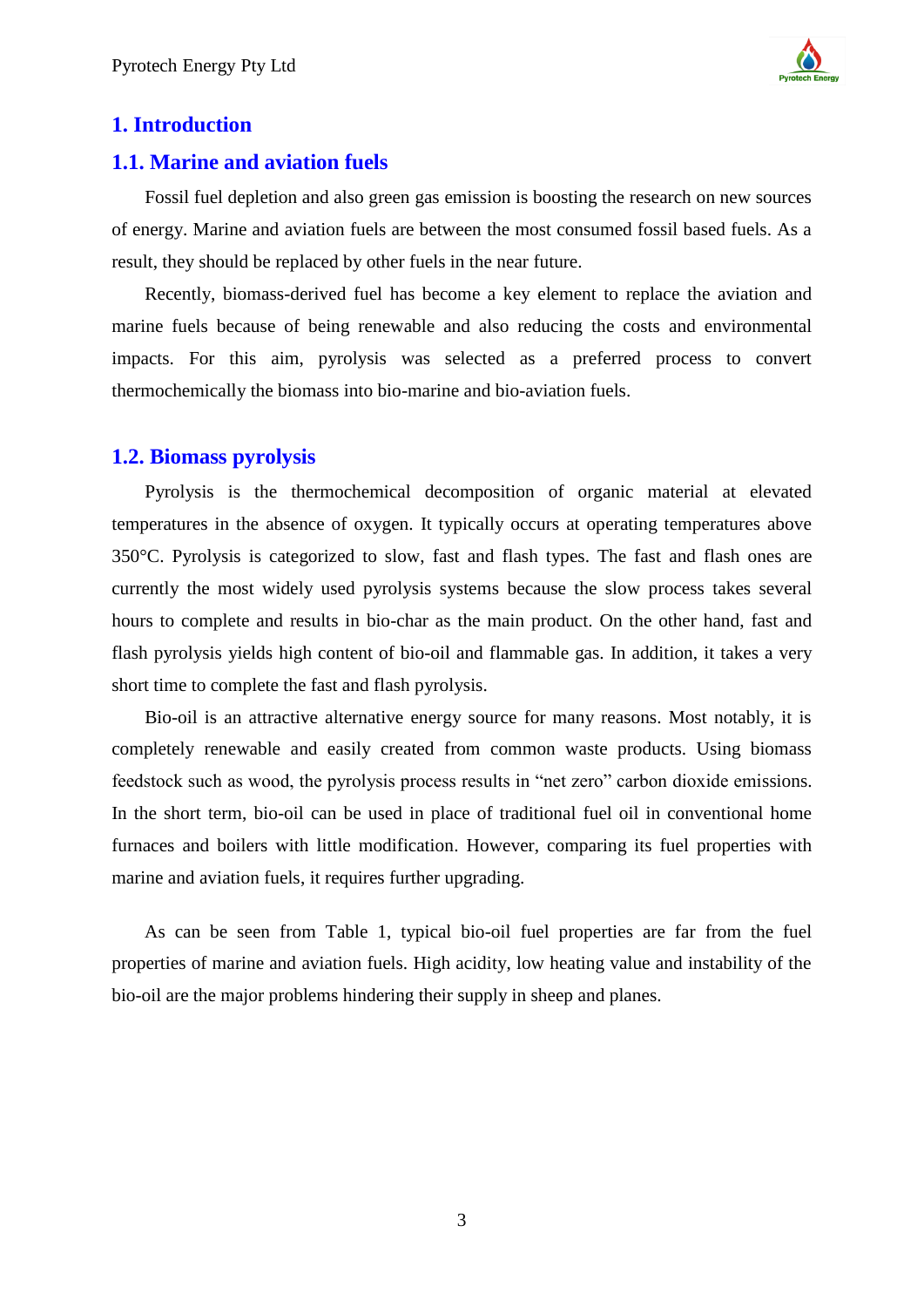

#### <span id="page-2-0"></span>**1. Introduction**

#### <span id="page-2-1"></span>**1.1. Marine and aviation fuels**

Fossil fuel depletion and also green gas emission is boosting the research on new sources of energy. Marine and aviation fuels are between the most consumed fossil based fuels. As a result, they should be replaced by other fuels in the near future.

Recently, biomass-derived fuel has become a key element to replace the aviation and marine fuels because of being renewable and also reducing the costs and environmental impacts. For this aim, pyrolysis was selected as a preferred process to convert thermochemically the biomass into bio-marine and bio-aviation fuels.

#### <span id="page-2-2"></span>**1.2. Biomass pyrolysis**

Pyrolysis is the thermochemical decomposition of organic material at elevated temperatures in the absence of oxygen. It typically occurs at operating temperatures above 350°C. Pyrolysis is categorized to slow, fast and flash types. The fast and flash ones are currently the most widely used pyrolysis systems because the slow process takes several hours to complete and results in bio-char as the main product. On the other hand, fast and flash pyrolysis yields high content of bio-oil and flammable gas. In addition, it takes a very short time to complete the fast and flash pyrolysis.

Bio-oil is an attractive alternative energy source for many reasons. Most notably, it is completely renewable and easily created from common waste products. Using biomass feedstock such as wood, the pyrolysis process results in "net zero" carbon dioxide emissions. In the short term, bio-oil can be used in place of traditional fuel oil in conventional home furnaces and boilers with little modification. However, comparing its fuel properties with marine and aviation fuels, it requires further upgrading.

As can be seen from Table 1, typical bio-oil fuel properties are far from the fuel properties of marine and aviation fuels. High acidity, low heating value and instability of the bio-oil are the major problems hindering their supply in sheep and planes.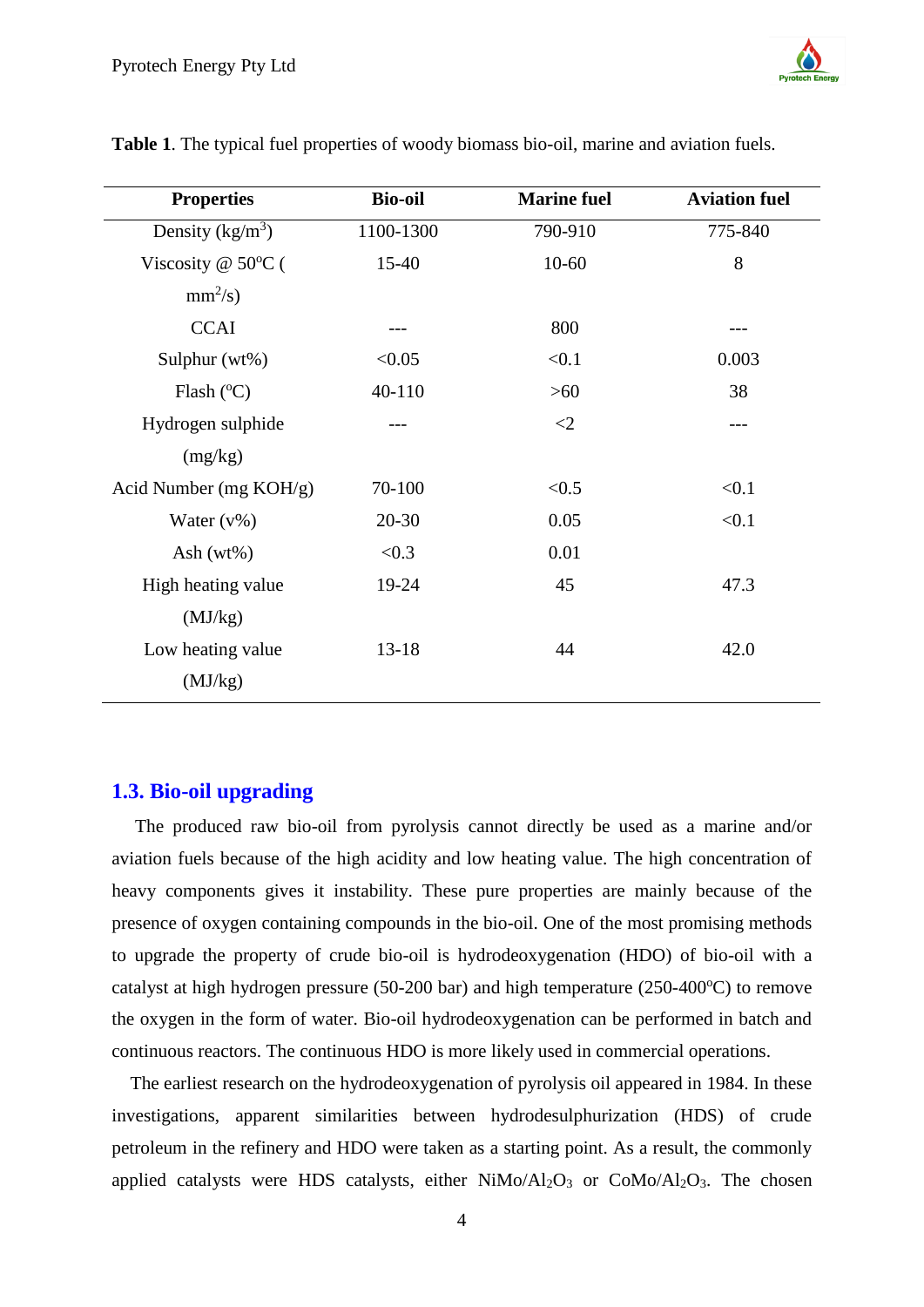| <b>Properties</b>            | <b>Bio-oil</b> | <b>Marine fuel</b> | <b>Aviation fuel</b> |
|------------------------------|----------------|--------------------|----------------------|
| Density $(kg/m^3)$           | 1100-1300      | 790-910            | 775-840              |
| Viscosity @ $50^{\circ}$ C ( | 15-40          | $10 - 60$          | 8                    |
| $mm^2/s)$                    |                |                    |                      |
| <b>CCAI</b>                  |                | 800                |                      |
| Sulphur (wt%)                | < 0.05         | < 0.1              | 0.003                |
| Flash $(^{\circ}C)$          | 40-110         | $>60$              | 38                   |
| Hydrogen sulphide            |                | $\leq$             |                      |
| (mg/kg)                      |                |                    |                      |
| Acid Number (mg KOH/g)       | 70-100         | < 0.5              | < 0.1                |
| Water $(v\%)$                | $20 - 30$      | 0.05               | < 0.1                |
| Ash $(wt\%)$                 | < 0.3          | 0.01               |                      |
| High heating value           | 19-24          | 45                 | 47.3                 |
| (MJ/kg)                      |                |                    |                      |
| Low heating value            | $13 - 18$      | 44                 | 42.0                 |
| (MJ/kg)                      |                |                    |                      |

**Table 1**. The typical fuel properties of woody biomass bio-oil, marine and aviation fuels.

#### <span id="page-3-0"></span>**1.3. Bio-oil upgrading**

 The produced raw bio-oil from pyrolysis cannot directly be used as a marine and/or aviation fuels because of the high acidity and low heating value. The high concentration of heavy components gives it instability. These pure properties are mainly because of the presence of oxygen containing compounds in the bio-oil. One of the most promising methods to upgrade the property of crude bio-oil is hydrodeoxygenation (HDO) of bio-oil with a catalyst at high hydrogen pressure (50-200 bar) and high temperature (250-400 $^{\circ}$ C) to remove the oxygen in the form of water. Bio-oil hydrodeoxygenation can be performed in batch and continuous reactors. The continuous HDO is more likely used in commercial operations.

 The earliest research on the hydrodeoxygenation of pyrolysis oil appeared in 1984. In these investigations, apparent similarities between hydrodesulphurization (HDS) of crude petroleum in the refinery and HDO were taken as a starting point. As a result, the commonly applied catalysts were HDS catalysts, either  $NiMo/Al<sub>2</sub>O<sub>3</sub>$  or  $CoMo/Al<sub>2</sub>O<sub>3</sub>$ . The chosen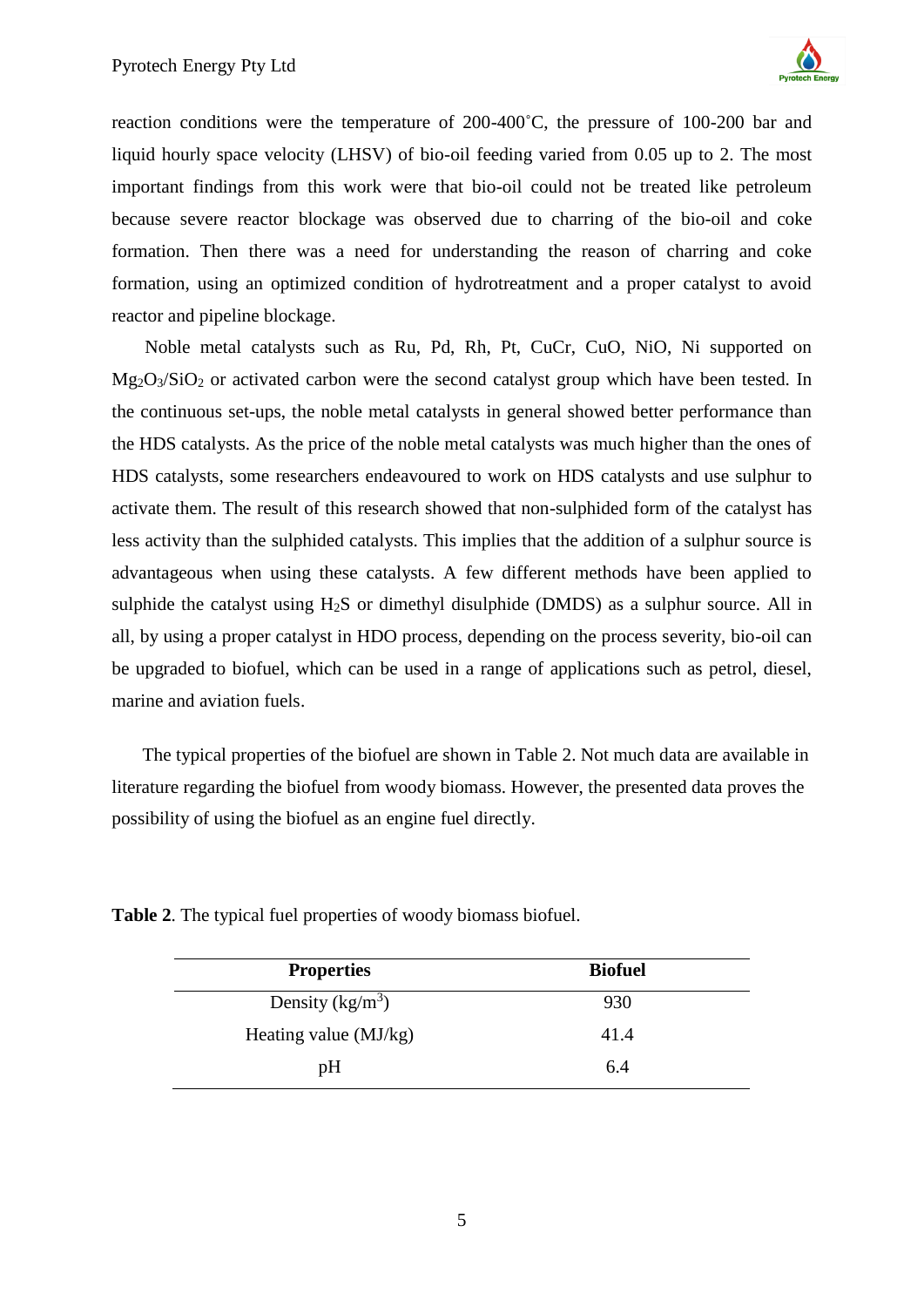

reaction conditions were the temperature of 200-400˚C, the pressure of 100-200 bar and liquid hourly space velocity (LHSV) of bio-oil feeding varied from 0.05 up to 2. The most important findings from this work were that bio-oil could not be treated like petroleum because severe reactor blockage was observed due to charring of the bio-oil and coke formation. Then there was a need for understanding the reason of charring and coke formation, using an optimized condition of hydrotreatment and a proper catalyst to avoid reactor and pipeline blockage.

Noble metal catalysts such as Ru, Pd, Rh, Pt, CuCr, CuO, NiO, Ni supported on Mg<sub>2</sub>O<sub>3</sub>/SiO<sub>2</sub> or activated carbon were the second catalyst group which have been tested. In the continuous set-ups, the noble metal catalysts in general showed better performance than the HDS catalysts. As the price of the noble metal catalysts was much higher than the ones of HDS catalysts, some researchers endeavoured to work on HDS catalysts and use sulphur to activate them. The result of this research showed that non-sulphided form of the catalyst has less activity than the sulphided catalysts. This implies that the addition of a sulphur source is advantageous when using these catalysts. A few different methods have been applied to sulphide the catalyst using H2S or dimethyl disulphide (DMDS) as a sulphur source. All in all, by using a proper catalyst in HDO process, depending on the process severity, bio-oil can be upgraded to biofuel, which can be used in a range of applications such as petrol, diesel, marine and aviation fuels.

The typical properties of the biofuel are shown in Table 2. Not much data are available in literature regarding the biofuel from woody biomass. However, the presented data proves the possibility of using the biofuel as an engine fuel directly.

| <b>Properties</b>     | <b>Biofuel</b> |
|-----------------------|----------------|
| Density $(kg/m^3)$    | 930            |
| Heating value (MJ/kg) | 41.4           |
| pH                    | 6.4            |

**Table 2**. The typical fuel properties of woody biomass biofuel.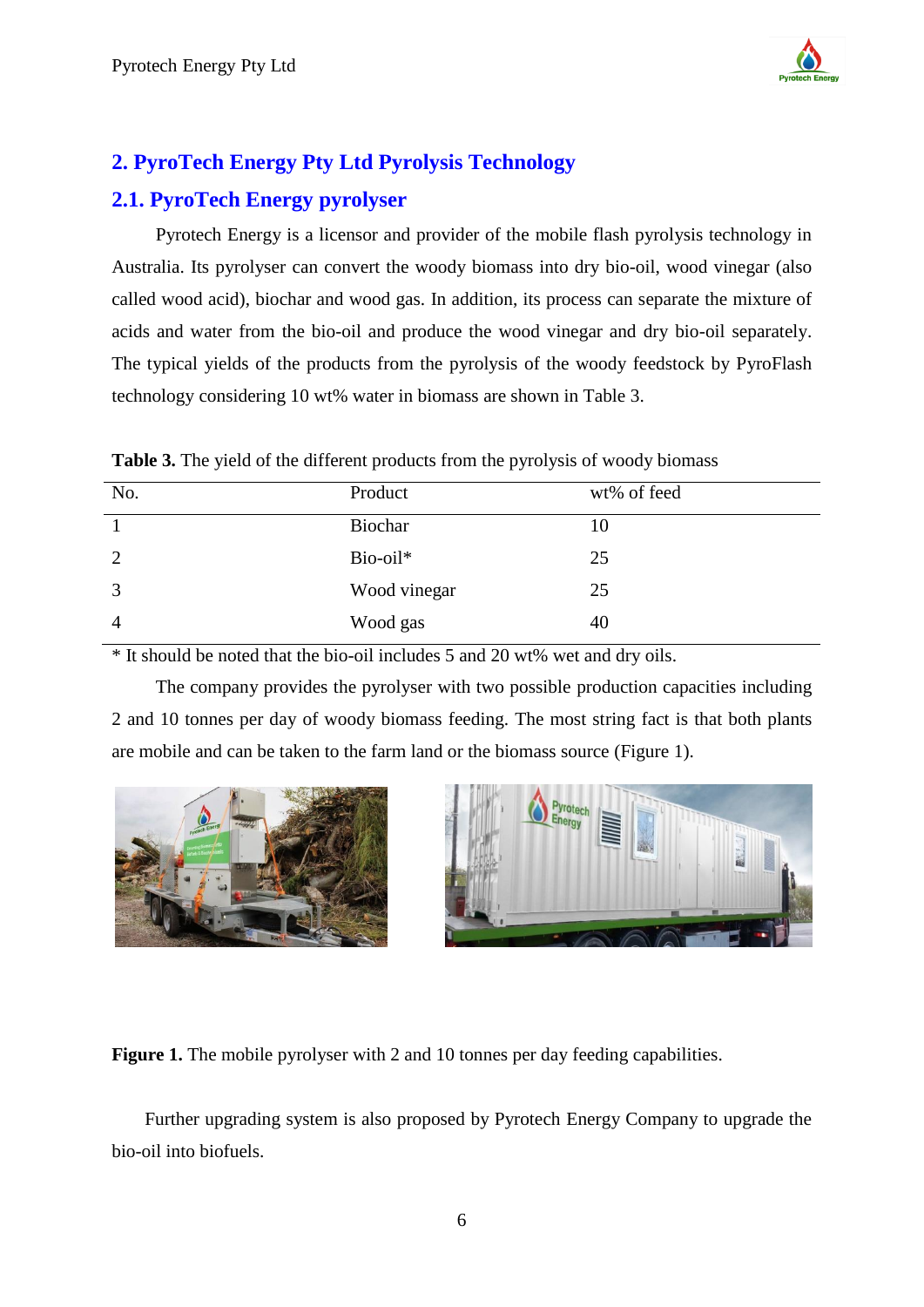

## <span id="page-5-0"></span>**2. PyroTech Energy Pty Ltd Pyrolysis Technology**

### <span id="page-5-1"></span>**2.1. PyroTech Energy pyrolyser**

Pyrotech Energy is a licensor and provider of the mobile flash pyrolysis technology in Australia. Its pyrolyser can convert the woody biomass into dry bio-oil, wood vinegar (also called wood acid), biochar and wood gas. In addition, its process can separate the mixture of acids and water from the bio-oil and produce the wood vinegar and dry bio-oil separately. The typical yields of the products from the pyrolysis of the woody feedstock by PyroFlash technology considering 10 wt% water in biomass are shown in Table 3.

| Table 3. The yield of the different products from the pyrolysis of woody biomass |  |  |  |
|----------------------------------------------------------------------------------|--|--|--|
|----------------------------------------------------------------------------------|--|--|--|

| No.            | Product      | wt% of feed |
|----------------|--------------|-------------|
|                | Biochar      | 10          |
| 2              | Bio-oil*     | 25          |
| 3              | Wood vinegar | 25          |
| $\overline{4}$ | Wood gas     | 40          |

\* It should be noted that the bio-oil includes 5 and 20 wt% wet and dry oils.

The company provides the pyrolyser with two possible production capacities including 2 and 10 tonnes per day of woody biomass feeding. The most string fact is that both plants are mobile and can be taken to the farm land or the biomass source (Figure 1).





**Figure 1.** The mobile pyrolyser with 2 and 10 tonnes per day feeding capabilities.

Further upgrading system is also proposed by Pyrotech Energy Company to upgrade the bio-oil into biofuels.